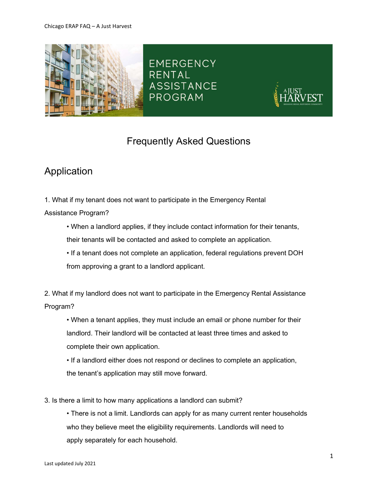

**EMERGENCY** RENTAL **ASSISTANCE** PROGRAM



## Frequently Asked Questions

# Application

1. What if my tenant does not want to participate in the Emergency Rental

Assistance Program?

- When a landlord applies, if they include contact information for their tenants, their tenants will be contacted and asked to complete an application.
- If a tenant does not complete an application, federal regulations prevent DOH from approving a grant to a landlord applicant.

2. What if my landlord does not want to participate in the Emergency Rental Assistance Program?

• When a tenant applies, they must include an email or phone number for their landlord. Their landlord will be contacted at least three times and asked to complete their own application.

• If a landlord either does not respond or declines to complete an application, the tenant's application may still move forward.

3. Is there a limit to how many applications a landlord can submit?

• There is not a limit. Landlords can apply for as many current renter households who they believe meet the eligibility requirements. Landlords will need to apply separately for each household.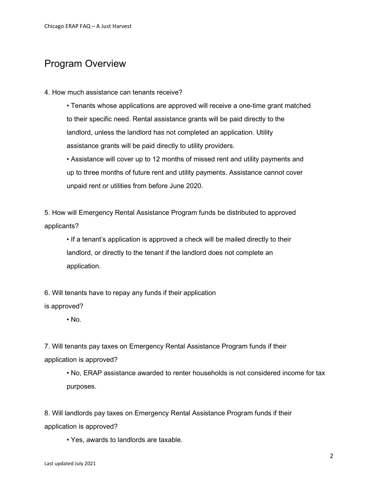## Program Overview

#### 4. How much assistance can tenants receive?

• Tenants whose applications are approved will receive a one-time grant matched to their specific need. Rental assistance grants will be paid directly to the landlord, unless the landlord has not completed an application. Utility assistance grants will be paid directly to utility providers.

• Assistance will cover up to 12 months of missed rent and utility payments and up to three months of future rent and utility payments. Assistance cannot cover unpaid rent or utilities from before June 2020.

5. How will Emergency Rental Assistance Program funds be distributed to approved applicants?

• If a tenant's application is approved a check will be mailed directly to their landlord, or directly to the tenant if the landlord does not complete an application.

6. Will tenants have to repay any funds if their application

is approved?

 $\cdot$  No.

7. Will tenants pay taxes on Emergency Rental Assistance Program funds if their application is approved?

• No, ERAP assistance awarded to renter households is not considered income for tax purposes.

8. Will landlords pay taxes on Emergency Rental Assistance Program funds if their application is approved?

• Yes, awards to landlords are taxable.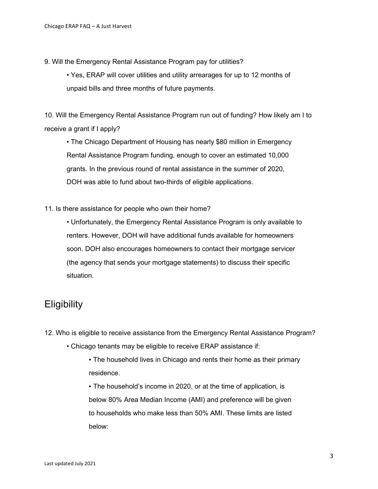- 9. Will the Emergency Rental Assistance Program pay for utilities?
	- Yes, ERAP will cover utilities and utility arrearages for up to 12 months of unpaid bills and three months of future payments.

10. Will the Emergency Rental Assistance Program run out of funding? How likely am I to receive a grant if I apply?

• The Chicago Department of Housing has nearly \$80 million in Emergency Rental Assistance Program funding, enough to cover an estimated 10,000 grants. In the previous round of rental assistance in the summer of 2020, DOH was able to fund about two-thirds of eligible applications.

11. Is there assistance for people who own their home?

• Unfortunately, the Emergency Rental Assistance Program is only available to renters. However, DOH will have additional funds available for homeowners soon. DOH also encourages homeowners to contact their mortgage servicer (the agency that sends your mortgage statements) to discuss their specific situation.

### **Eligibility**

12. Who is eligible to receive assistance from the Emergency Rental Assistance Program?

- Chicago tenants may be eligible to receive ERAP assistance if:
	- . The household lives in Chicago and rents their home as their primary residence.

▪ The household's income in 2020, or at the time of application, is below 80% Area Median Income (AMI) and preference will be given to households who make less than 50% AMI. These limits are listed below: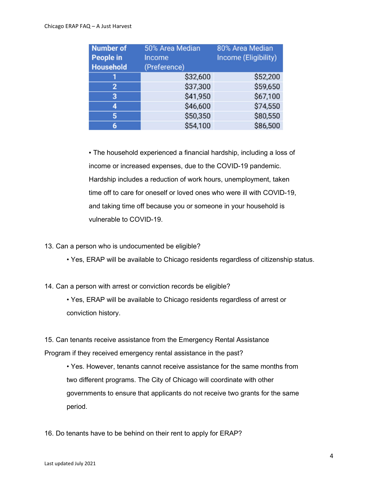#### Chicago ERAP FAQ – A Just Harvest

| <b>Number of</b><br>People in<br>Household | 50% Area Median<br><b>Income</b><br>(Preference) | 80% Area Median<br><b>Income (Eligibility)</b> |
|--------------------------------------------|--------------------------------------------------|------------------------------------------------|
|                                            | \$32,600                                         | \$52,200                                       |
| $\overline{2}$                             | \$37,300                                         | \$59,650                                       |
| 3                                          | \$41,950                                         | \$67,100                                       |
| 4                                          | \$46,600                                         | \$74,550                                       |
| 5                                          | \$50,350                                         | \$80,550                                       |
| 6                                          | \$54,100                                         | \$86,500                                       |

. The household experienced a financial hardship, including a loss of income or increased expenses, due to the COVID-19 pandemic. Hardship includes a reduction of work hours, unemployment, taken time off to care for oneself or loved ones who were ill with COVID-19, and taking time off because you or someone in your household is vulnerable to COVID-19.

- 13. Can a person who is undocumented be eligible?
	- Yes, ERAP will be available to Chicago residents regardless of citizenship status.
- 14. Can a person with arrest or conviction records be eligible?
	- Yes, ERAP will be available to Chicago residents regardless of arrest or conviction history.
- 15. Can tenants receive assistance from the Emergency Rental Assistance

Program if they received emergency rental assistance in the past?

- Yes. However, tenants cannot receive assistance for the same months from two different programs. The City of Chicago will coordinate with other governments to ensure that applicants do not receive two grants for the same period.
- 16. Do tenants have to be behind on their rent to apply for ERAP?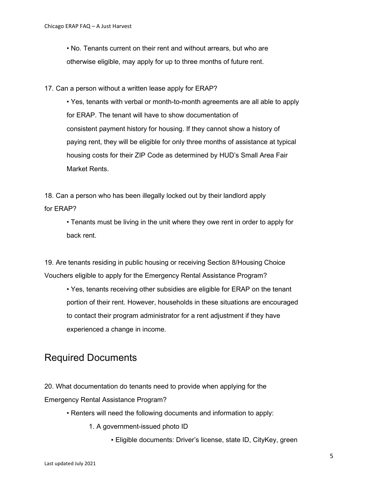• No. Tenants current on their rent and without arrears, but who are otherwise eligible, may apply for up to three months of future rent.

#### 17. Can a person without a written lease apply for ERAP?

• Yes, tenants with verbal or month-to-month agreements are all able to apply for ERAP. The tenant will have to show documentation of consistent payment history for housing. If they cannot show a history of paying rent, they will be eligible for only three months of assistance at typical housing costs for their ZIP Code as determined by HUD's Small Area Fair Market Rents.

18. Can a person who has been illegally locked out by their landlord apply for ERAP?

• Tenants must be living in the unit where they owe rent in order to apply for back rent.

19. Are tenants residing in public housing or receiving Section 8/Housing Choice Vouchers eligible to apply for the Emergency Rental Assistance Program?

• Yes, tenants receiving other subsidies are eligible for ERAP on the tenant portion of their rent. However, households in these situations are encouraged to contact their program administrator for a rent adjustment if they have experienced a change in income.

### Required Documents

20. What documentation do tenants need to provide when applying for the Emergency Rental Assistance Program?

- Renters will need the following documents and information to apply:
	- 1. A government-issued photo ID
		- Eligible documents: Driver's license, state ID, CityKey, green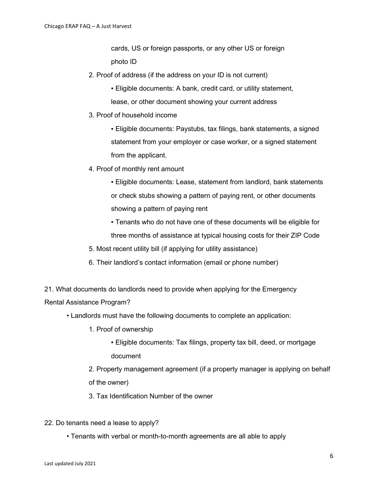cards, US or foreign passports, or any other US or foreign photo ID

- 2. Proof of address (if the address on your ID is not current)
	- **Eligible documents: A bank, credit card, or utility statement,** lease, or other document showing your current address
- 3. Proof of household income

▪ Eligible documents: Paystubs, tax filings, bank statements, a signed statement from your employer or case worker, or a signed statement from the applicant.

4. Proof of monthly rent amount

▪ Eligible documents: Lease, statement from landlord, bank statements or check stubs showing a pattern of paying rent, or other documents showing a pattern of paying rent

▪ Tenants who do not have one of these documents will be eligible for three months of assistance at typical housing costs for their ZIP Code

- 5. Most recent utility bill (if applying for utility assistance)
- 6. Their landlord's contact information (email or phone number)

21. What documents do landlords need to provide when applying for the Emergency

Rental Assistance Program?

- Landlords must have the following documents to complete an application:
	- 1. Proof of ownership
		- Eligible documents: Tax filings, property tax bill, deed, or mortgage document

2. Property management agreement (if a property manager is applying on behalf of the owner)

3. Tax Identification Number of the owner

- 22. Do tenants need a lease to apply?
	- Tenants with verbal or month-to-month agreements are all able to apply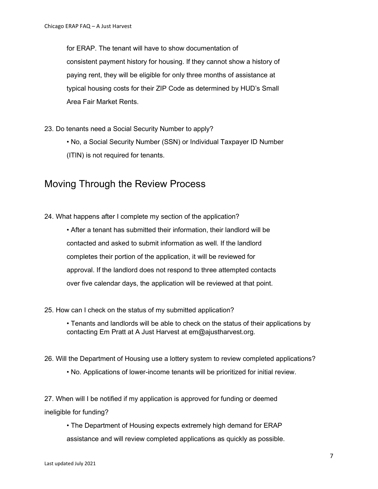for ERAP. The tenant will have to show documentation of consistent payment history for housing. If they cannot show a history of paying rent, they will be eligible for only three months of assistance at typical housing costs for their ZIP Code as determined by HUD's Small Area Fair Market Rents.

- 23. Do tenants need a Social Security Number to apply?
	- No, a Social Security Number (SSN) or Individual Taxpayer ID Number (ITIN) is not required for tenants.

### Moving Through the Review Process

24. What happens after I complete my section of the application?

• After a tenant has submitted their information, their landlord will be contacted and asked to submit information as well. If the landlord completes their portion of the application, it will be reviewed for approval. If the landlord does not respond to three attempted contacts over five calendar days, the application will be reviewed at that point.

#### 25. How can I check on the status of my submitted application?

• Tenants and landlords will be able to check on the status of their applications by contacting Em Pratt at A Just Harvest at em@ajustharvest.org.

- 26. Will the Department of Housing use a lottery system to review completed applications?
	- No. Applications of lower-income tenants will be prioritized for initial review.

27. When will I be notified if my application is approved for funding or deemed ineligible for funding?

• The Department of Housing expects extremely high demand for ERAP

assistance and will review completed applications as quickly as possible.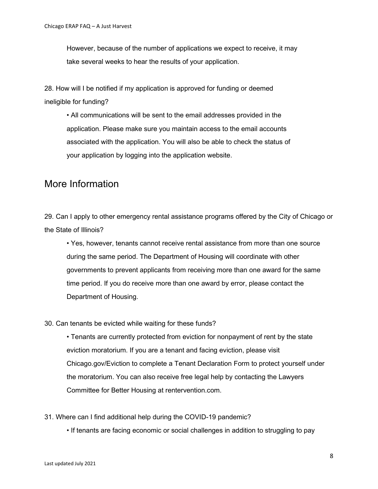However, because of the number of applications we expect to receive, it may take several weeks to hear the results of your application.

28. How will I be notified if my application is approved for funding or deemed ineligible for funding?

• All communications will be sent to the email addresses provided in the application. Please make sure you maintain access to the email accounts associated with the application. You will also be able to check the status of your application by logging into the application website.

### More Information

29. Can I apply to other emergency rental assistance programs offered by the City of Chicago or the State of Illinois?

• Yes, however, tenants cannot receive rental assistance from more than one source during the same period. The Department of Housing will coordinate with other governments to prevent applicants from receiving more than one award for the same time period. If you do receive more than one award by error, please contact the Department of Housing.

### 30. Can tenants be evicted while waiting for these funds?

• Tenants are currently protected from eviction for nonpayment of rent by the state eviction moratorium. If you are a tenant and facing eviction, please visit Chicago.gov/Eviction to complete a Tenant Declaration Form to protect yourself under the moratorium. You can also receive free legal help by contacting the Lawyers Committee for Better Housing at rentervention.com.

31. Where can I find additional help during the COVID-19 pandemic?

• If tenants are facing economic or social challenges in addition to struggling to pay